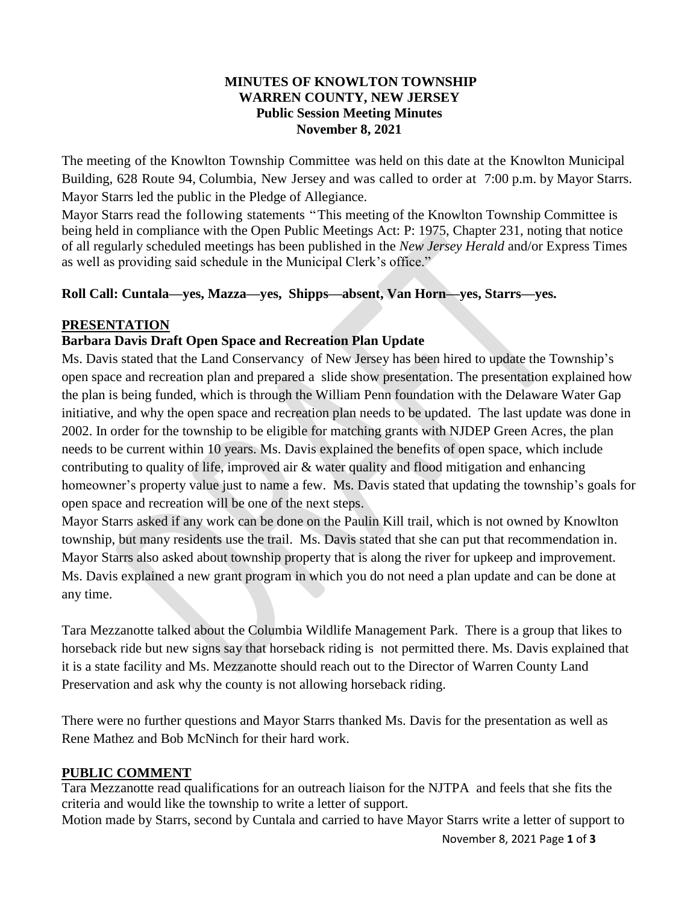## **MINUTES OF KNOWLTON TOWNSHIP WARREN COUNTY, NEW JERSEY Public Session Meeting Minutes November 8, 2021**

The meeting of the Knowlton Township Committee was held on this date at the Knowlton Municipal Building, 628 Route 94, Columbia, New Jersey and was called to order at 7:00 p.m. by Mayor Starrs. Mayor Starrs led the public in the Pledge of Allegiance.

Mayor Starrs read the following statements "This meeting of the Knowlton Township Committee is being held in compliance with the Open Public Meetings Act: P: 1975, Chapter 231, noting that notice of all regularly scheduled meetings has been published in the *New Jersey Herald* and/or Express Times as well as providing said schedule in the Municipal Clerk's office."

# **Roll Call: Cuntala—yes, Mazza—yes, Shipps—absent, Van Horn—yes, Starrs—yes.**

## **PRESENTATION**

# **Barbara Davis Draft Open Space and Recreation Plan Update**

Ms. Davis stated that the Land Conservancy of New Jersey has been hired to update the Township's open space and recreation plan and prepared a slide show presentation. The presentation explained how the plan is being funded, which is through the William Penn foundation with the Delaware Water Gap initiative, and why the open space and recreation plan needs to be updated. The last update was done in 2002. In order for the township to be eligible for matching grants with NJDEP Green Acres, the plan needs to be current within 10 years. Ms. Davis explained the benefits of open space, which include contributing to quality of life, improved air & water quality and flood mitigation and enhancing homeowner's property value just to name a few. Ms. Davis stated that updating the township's goals for open space and recreation will be one of the next steps.

Mayor Starrs asked if any work can be done on the Paulin Kill trail, which is not owned by Knowlton township, but many residents use the trail. Ms. Davis stated that she can put that recommendation in. Mayor Starrs also asked about township property that is along the river for upkeep and improvement. Ms. Davis explained a new grant program in which you do not need a plan update and can be done at any time.

Tara Mezzanotte talked about the Columbia Wildlife Management Park. There is a group that likes to horseback ride but new signs say that horseback riding is not permitted there. Ms. Davis explained that it is a state facility and Ms. Mezzanotte should reach out to the Director of Warren County Land Preservation and ask why the county is not allowing horseback riding.

There were no further questions and Mayor Starrs thanked Ms. Davis for the presentation as well as Rene Mathez and Bob McNinch for their hard work.

## **PUBLIC COMMENT**

Tara Mezzanotte read qualifications for an outreach liaison for the NJTPA and feels that she fits the criteria and would like the township to write a letter of support.

Motion made by Starrs, second by Cuntala and carried to have Mayor Starrs write a letter of support to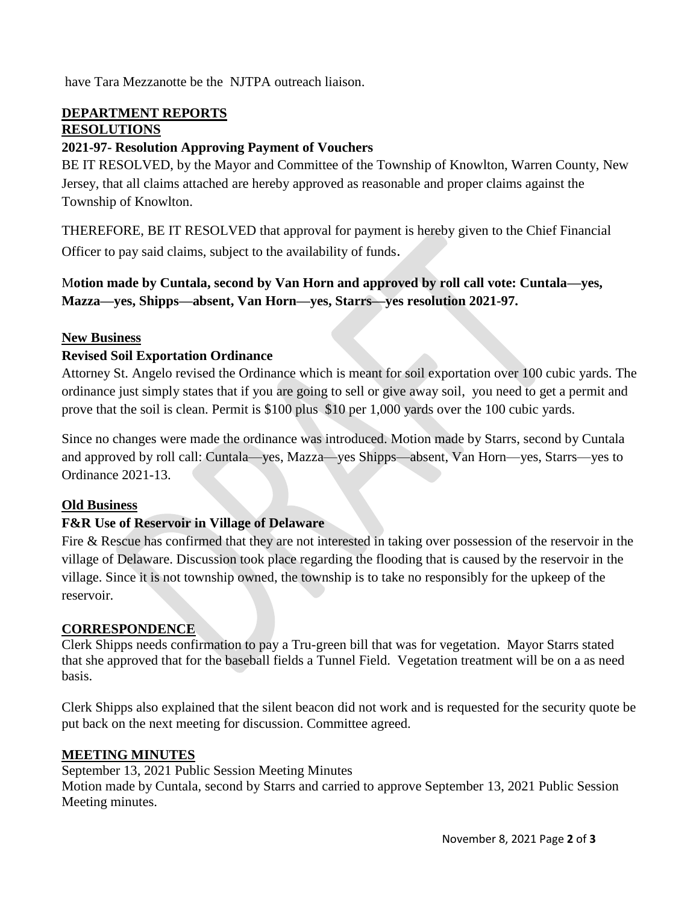have Tara Mezzanotte be the NJTPA outreach liaison.

## **DEPARTMENT REPORTS RESOLUTIONS**

# **2021-97- Resolution Approving Payment of Vouchers**

BE IT RESOLVED, by the Mayor and Committee of the Township of Knowlton, Warren County, New Jersey, that all claims attached are hereby approved as reasonable and proper claims against the Township of Knowlton.

THEREFORE, BE IT RESOLVED that approval for payment is hereby given to the Chief Financial Officer to pay said claims, subject to the availability of funds.

M**otion made by Cuntala, second by Van Horn and approved by roll call vote: Cuntala—yes, Mazza—yes, Shipps—absent, Van Horn—yes, Starrs—yes resolution 2021-97.**

## **New Business**

## **Revised Soil Exportation Ordinance**

Attorney St. Angelo revised the Ordinance which is meant for soil exportation over 100 cubic yards. The ordinance just simply states that if you are going to sell or give away soil, you need to get a permit and prove that the soil is clean. Permit is \$100 plus \$10 per 1,000 yards over the 100 cubic yards.

Since no changes were made the ordinance was introduced. Motion made by Starrs, second by Cuntala and approved by roll call: Cuntala—yes, Mazza—yes Shipps—absent, Van Horn—yes, Starrs—yes to Ordinance 2021-13.

#### **Old Business**

#### **F&R Use of Reservoir in Village of Delaware**

Fire & Rescue has confirmed that they are not interested in taking over possession of the reservoir in the village of Delaware. Discussion took place regarding the flooding that is caused by the reservoir in the village. Since it is not township owned, the township is to take no responsibly for the upkeep of the reservoir.

#### **CORRESPONDENCE**

Clerk Shipps needs confirmation to pay a Tru-green bill that was for vegetation. Mayor Starrs stated that she approved that for the baseball fields a Tunnel Field. Vegetation treatment will be on a as need basis.

Clerk Shipps also explained that the silent beacon did not work and is requested for the security quote be put back on the next meeting for discussion. Committee agreed.

#### **MEETING MINUTES**

September 13, 2021 Public Session Meeting Minutes Motion made by Cuntala, second by Starrs and carried to approve September 13, 2021 Public Session Meeting minutes.